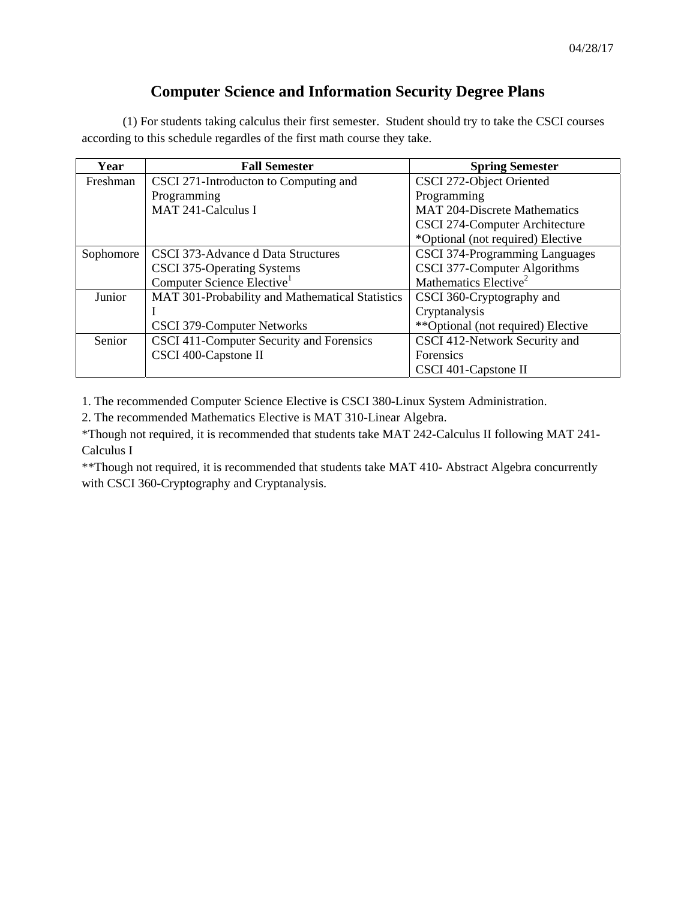## **Computer Science and Information Security Degree Plans**

(1) For students taking calculus their first semester. Student should try to take the CSCI courses according to this schedule regardles of the first math course they take.

| Year      | <b>Fall Semester</b>                            | <b>Spring Semester</b>              |
|-----------|-------------------------------------------------|-------------------------------------|
| Freshman  | CSCI 271-Introducton to Computing and           | CSCI 272-Object Oriented            |
|           | Programming                                     | Programming                         |
|           | MAT 241-Calculus I                              | <b>MAT 204-Discrete Mathematics</b> |
|           |                                                 | CSCI 274-Computer Architecture      |
|           |                                                 | *Optional (not required) Elective   |
| Sophomore | CSCI 373-Advance d Data Structures              | CSCI 374-Programming Languages      |
|           | CSCI 375-Operating Systems                      | CSCI 377-Computer Algorithms        |
|           | Computer Science Elective <sup>1</sup>          | Mathematics Elective <sup>2</sup>   |
| Junior    | MAT 301-Probability and Mathematical Statistics | CSCI 360-Cryptography and           |
|           |                                                 | Cryptanalysis                       |
|           | CSCI 379-Computer Networks                      | **Optional (not required) Elective  |
| Senior    | CSCI 411-Computer Security and Forensics        | CSCI 412-Network Security and       |
|           | CSCI 400-Capstone II                            | Forensics                           |
|           |                                                 | CSCI 401-Capstone II                |

1. The recommended Computer Science Elective is CSCI 380-Linux System Administration.

2. The recommended Mathematics Elective is MAT 310-Linear Algebra.

\*Though not required, it is recommended that students take MAT 242-Calculus II following MAT 241- Calculus I

\*\*Though not required, it is recommended that students take MAT 410- Abstract Algebra concurrently with CSCI 360-Cryptography and Cryptanalysis.